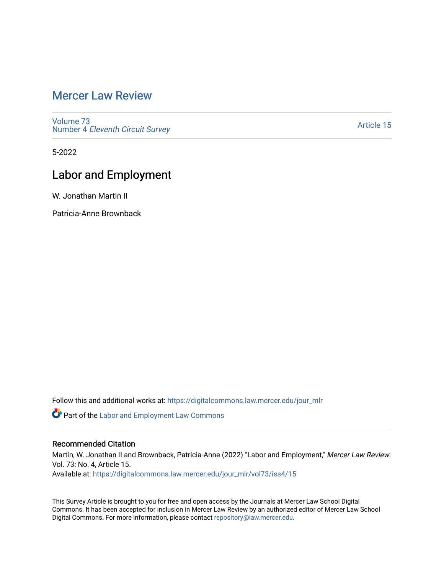## [Mercer Law Review](https://digitalcommons.law.mercer.edu/jour_mlr)

[Volume 73](https://digitalcommons.law.mercer.edu/jour_mlr/vol73) Number 4 [Eleventh Circuit Survey](https://digitalcommons.law.mercer.edu/jour_mlr/vol73/iss4) 

[Article 15](https://digitalcommons.law.mercer.edu/jour_mlr/vol73/iss4/15) 

5-2022

# Labor and Employment

W. Jonathan Martin II

Patricia-Anne Brownback

Follow this and additional works at: [https://digitalcommons.law.mercer.edu/jour\\_mlr](https://digitalcommons.law.mercer.edu/jour_mlr?utm_source=digitalcommons.law.mercer.edu%2Fjour_mlr%2Fvol73%2Fiss4%2F15&utm_medium=PDF&utm_campaign=PDFCoverPages)

Part of the [Labor and Employment Law Commons](https://network.bepress.com/hgg/discipline/909?utm_source=digitalcommons.law.mercer.edu%2Fjour_mlr%2Fvol73%2Fiss4%2F15&utm_medium=PDF&utm_campaign=PDFCoverPages)

## Recommended Citation

Martin, W. Jonathan II and Brownback, Patricia-Anne (2022) "Labor and Employment," Mercer Law Review: Vol. 73: No. 4, Article 15.

Available at: [https://digitalcommons.law.mercer.edu/jour\\_mlr/vol73/iss4/15](https://digitalcommons.law.mercer.edu/jour_mlr/vol73/iss4/15?utm_source=digitalcommons.law.mercer.edu%2Fjour_mlr%2Fvol73%2Fiss4%2F15&utm_medium=PDF&utm_campaign=PDFCoverPages) 

This Survey Article is brought to you for free and open access by the Journals at Mercer Law School Digital Commons. It has been accepted for inclusion in Mercer Law Review by an authorized editor of Mercer Law School Digital Commons. For more information, please contact [repository@law.mercer.edu](mailto:repository@law.mercer.edu).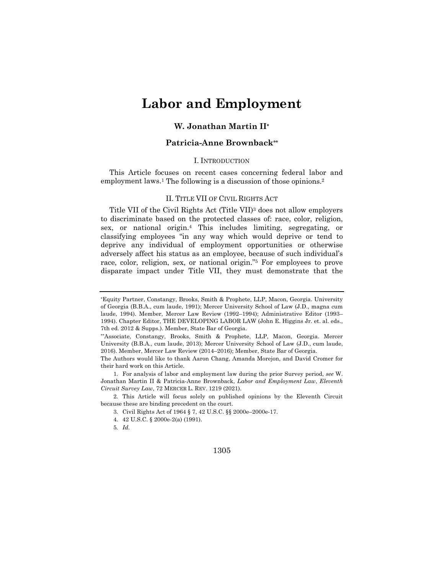# **Labor and Employment**

### **W. Jonathan Martin II\***

### **Patricia-Anne Brownback\*\***

#### I. INTRODUCTION

This Article focuses on recent cases concerning federal labor and employment laws.<sup>1</sup> The following is a discussion of those opinions.<sup>2</sup>

#### II. TITLE VII OF CIVIL RIGHTS ACT

Title VII of the Civil Rights Act (Title VII)3 does not allow employers to discriminate based on the protected classes of: race, color, religion, sex, or national origin.4 This includes limiting, segregating, or classifying employees "in any way which would deprive or tend to deprive any individual of employment opportunities or otherwise adversely affect his status as an employee, because of such individual's race, color, religion, sex, or national origin."5 For employees to prove disparate impact under Title VII, they must demonstrate that the

1305

<sup>\*</sup>Equity Partner, Constangy, Brooks, Smith & Prophete, LLP, Macon, Georgia. University of Georgia (B.B.A., cum laude, 1991); Mercer University School of Law (J.D., magna cum laude, 1994). Member, Mercer Law Review (1992–1994); Administrative Editor (1993– 1994). Chapter Editor, THE DEVELOPING LABOR LAW (John E. Higgins Jr. et. al. eds., 7th ed. 2012 & Supps.). Member, State Bar of Georgia.

<sup>\*\*</sup>Associate, Constangy, Brooks, Smith & Prophete, LLP, Macon, Georgia. Mercer University (B.B.A., cum laude, 2013); Mercer University School of Law (J.D., cum laude, 2016). Member, Mercer Law Review (2014–2016); Member, State Bar of Georgia.

The Authors would like to thank Aaron Chang, Amanda Morejon, and David Cromer for their hard work on this Article.

<sup>1.</sup> For analysis of labor and employment law during the prior Survey period, *see* W. Jonathan Martin II & Patricia-Anne Brownback, *Labor and Employment Law*, *Eleventh Circuit Survey Law,* 72 MERCER L. REV. 1219 (2021).

<sup>2.</sup> This Article will focus solely on published opinions by the Eleventh Circuit because these are binding precedent on the court.

<sup>3.</sup> Civil Rights Act of 1964 § 7, 42 U.S.C. §§ 2000e–2000e-17.

<sup>4.</sup> 42 U.S.C. § 2000e-2(a) (1991).

<sup>5</sup>*. Id.*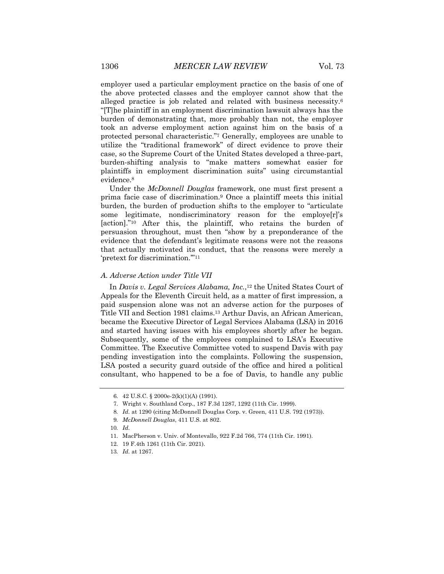employer used a particular employment practice on the basis of one of the above protected classes and the employer cannot show that the alleged practice is job related and related with business necessity.6 "[T]he plaintiff in an employment discrimination lawsuit always has the burden of demonstrating that, more probably than not, the employer took an adverse employment action against him on the basis of a protected personal characteristic."7 Generally, employees are unable to utilize the "traditional framework" of direct evidence to prove their case, so the Supreme Court of the United States developed a three-part, burden-shifting analysis to "make matters somewhat easier for plaintiffs in employment discrimination suits" using circumstantial evidence.8

Under the *McDonnell Douglas* framework, one must first present a prima facie case of discrimination.9 Once a plaintiff meets this initial burden, the burden of production shifts to the employer to "articulate some legitimate, nondiscriminatory reason for the employe[r]'s [action]."10 After this, the plaintiff, who retains the burden of persuasion throughout, must then "show by a preponderance of the evidence that the defendant's legitimate reasons were not the reasons that actually motivated its conduct, that the reasons were merely a 'pretext for discrimination.'"11

#### *A. Adverse Action under Title VII*

In *Davis v. Legal Services Alabama, Inc.*,<sup>12</sup> the United States Court of Appeals for the Eleventh Circuit held, as a matter of first impression, a paid suspension alone was not an adverse action for the purposes of Title VII and Section 1981 claims.13 Arthur Davis, an African American, became the Executive Director of Legal Services Alabama (LSA) in 2016 and started having issues with his employees shortly after he began. Subsequently, some of the employees complained to LSA's Executive Committee. The Executive Committee voted to suspend Davis with pay pending investigation into the complaints. Following the suspension, LSA posted a security guard outside of the office and hired a political consultant, who happened to be a foe of Davis, to handle any public

<sup>6.</sup> 42 U.S.C. § 2000e-2(k)(1)(A) (1991).

<sup>7.</sup> Wright v. Southland Corp., 187 F.3d 1287, 1292 (11th Cir. 1999).

<sup>8</sup>*. Id.* at 1290 (citing McDonnell Douglas Corp. v. Green, 411 U.S. 792 (1973)).

<sup>9</sup>*. McDonnell Douglas*, 411 U.S. at 802.

<sup>10</sup>*. Id.*

<sup>11.</sup> MacPherson v. Univ. of Montevallo, 922 F.2d 766, 774 (11th Cir. 1991).

<sup>12.</sup> 19 F.4th 1261 (11th Cir. 2021).

<sup>13</sup>*. Id.* at 1267.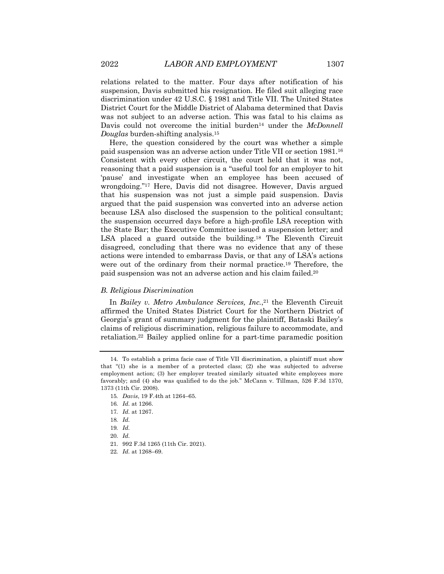relations related to the matter. Four days after notification of his suspension, Davis submitted his resignation. He filed suit alleging race discrimination under 42 U.S.C. § 1981 and Title VII. The United States District Court for the Middle District of Alabama determined that Davis was not subject to an adverse action. This was fatal to his claims as Davis could not overcome the initial burden<sup>14</sup> under the *McDonnell Douglas* burden-shifting analysis.15

Here, the question considered by the court was whether a simple paid suspension was an adverse action under Title VII or section 1981.16 Consistent with every other circuit, the court held that it was not, reasoning that a paid suspension is a "useful tool for an employer to hit 'pause' and investigate when an employee has been accused of wrongdoing."17 Here, Davis did not disagree. However, Davis argued that his suspension was not just a simple paid suspension. Davis argued that the paid suspension was converted into an adverse action because LSA also disclosed the suspension to the political consultant; the suspension occurred days before a high-profile LSA reception with the State Bar; the Executive Committee issued a suspension letter; and LSA placed a guard outside the building.18 The Eleventh Circuit disagreed, concluding that there was no evidence that any of these actions were intended to embarrass Davis, or that any of LSA's actions were out of the ordinary from their normal practice.19 Therefore, the paid suspension was not an adverse action and his claim failed.20

#### *B. Religious Discrimination*

In *Bailey v. Metro Ambulance Services, Inc.*,<sup>21</sup> the Eleventh Circuit affirmed the United States District Court for the Northern District of Georgia's grant of summary judgment for the plaintiff, Bataski Bailey's claims of religious discrimination, religious failure to accommodate, and retaliation.22 Bailey applied online for a part-time paramedic position

<sup>14.</sup> To establish a prima facie case of Title VII discrimination, a plaintiff must show that "(1) she is a member of a protected class; (2) she was subjected to adverse employment action; (3) her employer treated similarly situated white employees more favorably; and (4) she was qualified to do the job." McCann v. Tillman, 526 F.3d 1370, 1373 (11th Cir. 2008).

<sup>15</sup>*. Davis*, 19 F.4th at 1264–65.

<sup>16</sup>*. Id.* at 1266.

<sup>17</sup>*. Id.* at 1267.

<sup>18</sup>*. Id.*

<sup>19</sup>*. Id.*

<sup>20.</sup> *Id.*

<sup>21.</sup> 992 F.3d 1265 (11th Cir. 2021).

<sup>22</sup>*. Id.* at 1268–69.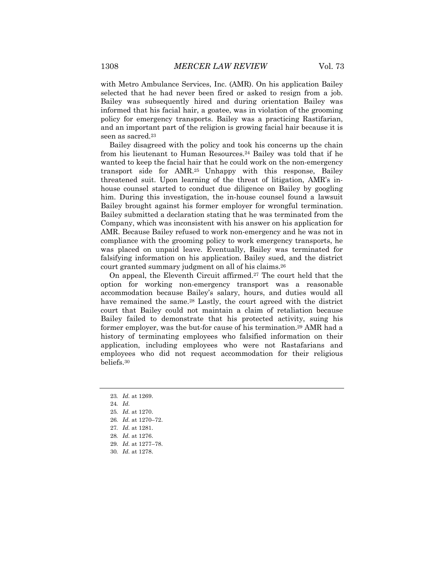with Metro Ambulance Services, Inc. (AMR). On his application Bailey selected that he had never been fired or asked to resign from a job. Bailey was subsequently hired and during orientation Bailey was informed that his facial hair, a goatee, was in violation of the grooming policy for emergency transports. Bailey was a practicing Rastifarian, and an important part of the religion is growing facial hair because it is seen as sacred.<sup>23</sup>

Bailey disagreed with the policy and took his concerns up the chain from his lieutenant to Human Resources.24 Bailey was told that if he wanted to keep the facial hair that he could work on the non-emergency transport side for AMR.25 Unhappy with this response, Bailey threatened suit. Upon learning of the threat of litigation, AMR's inhouse counsel started to conduct due diligence on Bailey by googling him. During this investigation, the in-house counsel found a lawsuit Bailey brought against his former employer for wrongful termination. Bailey submitted a declaration stating that he was terminated from the Company, which was inconsistent with his answer on his application for AMR. Because Bailey refused to work non-emergency and he was not in compliance with the grooming policy to work emergency transports, he was placed on unpaid leave. Eventually, Bailey was terminated for falsifying information on his application. Bailey sued, and the district court granted summary judgment on all of his claims.26

On appeal, the Eleventh Circuit affirmed.27 The court held that the option for working non-emergency transport was a reasonable accommodation because Bailey's salary, hours, and duties would all have remained the same.<sup>28</sup> Lastly, the court agreed with the district court that Bailey could not maintain a claim of retaliation because Bailey failed to demonstrate that his protected activity, suing his former employer, was the but-for cause of his termination.29 AMR had a history of terminating employees who falsified information on their application, including employees who were not Rastafarians and employees who did not request accommodation for their religious beliefs.30

- 23*. Id.* at 1269.
- 24*. Id.*
- 25*. Id.* at 1270.
- 26*. Id.* at 1270–72.
- 27*. Id.* at 1281.
- 28*. Id.* at 1276.
- 29. *Id.* at 1277–78.
- 
- 30*. Id.* at 1278.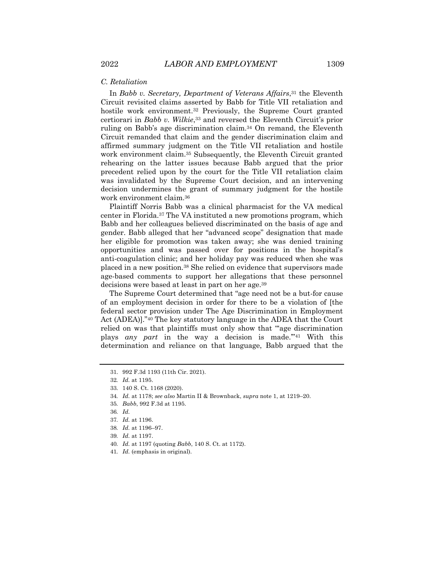### *C. Retaliation*

In *Babb v. Secretary, Department of Veterans Affairs*,<sup>31</sup> the Eleventh Circuit revisited claims asserted by Babb for Title VII retaliation and hostile work environment.32 Previously, the Supreme Court granted certiorari in *Babb v. Wilkie*,33 and reversed the Eleventh Circuit's prior ruling on Babb's age discrimination claim.34 On remand, the Eleventh Circuit remanded that claim and the gender discrimination claim and affirmed summary judgment on the Title VII retaliation and hostile work environment claim.35 Subsequently, the Eleventh Circuit granted rehearing on the latter issues because Babb argued that the prior precedent relied upon by the court for the Title VII retaliation claim was invalidated by the Supreme Court decision, and an intervening decision undermines the grant of summary judgment for the hostile work environment claim.36

Plaintiff Norris Babb was a clinical pharmacist for the VA medical center in Florida.37 The VA instituted a new promotions program, which Babb and her colleagues believed discriminated on the basis of age and gender. Babb alleged that her "advanced scope" designation that made her eligible for promotion was taken away; she was denied training opportunities and was passed over for positions in the hospital's anti-coagulation clinic; and her holiday pay was reduced when she was placed in a new position.38 She relied on evidence that supervisors made age-based comments to support her allegations that these personnel decisions were based at least in part on her age.39

The Supreme Court determined that "age need not be a but-for cause of an employment decision in order for there to be a violation of [the federal sector provision under The Age Discrimination in Employment Act (ADEA)]."40 The key statutory language in the ADEA that the Court relied on was that plaintiffs must only show that "'age discrimination plays *any part* in the way a decision is made.'"41 With this determination and reliance on that language, Babb argued that the

<sup>31.</sup> 992 F.3d 1193 (11th Cir. 2021).

<sup>32</sup>*. Id.* at 1195.

<sup>33.</sup> 140 S. Ct. 1168 (2020).

<sup>34</sup>*. Id.* at 1178; *see also* Martin II & Brownback, *supra* note 1, at 1219–20.

<sup>35</sup>*. Babb*, 992 F.3d at 1195.

<sup>36</sup>*. Id.*

<sup>37</sup>*. Id.* at 1196.

<sup>38</sup>*. Id.* at 1196–97.

<sup>39</sup>*. Id.* at 1197.

<sup>40</sup>*. Id.* at 1197 (quoting *Babb*, 140 S. Ct. at 1172).

<sup>41</sup>*. Id.* (emphasis in original).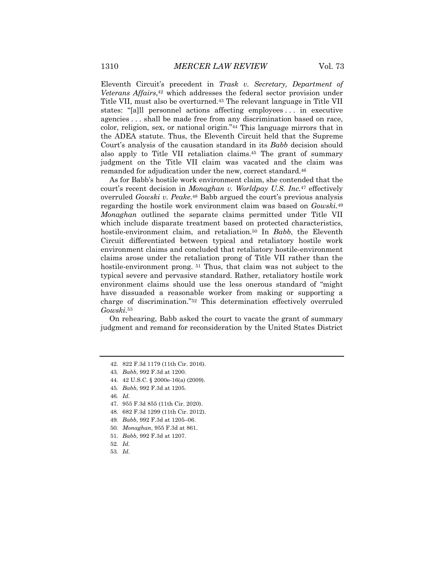Eleventh Circuit's precedent in *Trask v. Secretary, Department of Veterans Affairs*,42 which addresses the federal sector provision under Title VII, must also be overturned.43 The relevant language in Title VII states: "[a]ll personnel actions affecting employees . . . in executive agencies . . . shall be made free from any discrimination based on race, color, religion, sex, or national origin."44 This language mirrors that in the ADEA statute. Thus, the Eleventh Circuit held that the Supreme Court's analysis of the causation standard in its *Babb* decision should also apply to Title VII retaliation claims.45 The grant of summary judgment on the Title VII claim was vacated and the claim was remanded for adjudication under the new, correct standard.<sup>46</sup>

As for Babb's hostile work environment claim, she contended that the court's recent decision in *Monaghan v. Worldpay U.S. Inc.*<sup>47</sup> effectively overruled *Gowski v. Peake*.48 Babb argued the court's previous analysis regarding the hostile work environment claim was based on *Gowski*.49 *Monaghan* outlined the separate claims permitted under Title VII which include disparate treatment based on protected characteristics, hostile-environment claim, and retaliation.<sup>50</sup> In *Babb*, the Eleventh Circuit differentiated between typical and retaliatory hostile work environment claims and concluded that retaliatory hostile-environment claims arose under the retaliation prong of Title VII rather than the hostile-environment prong. <sup>51</sup> Thus, that claim was not subject to the typical severe and pervasive standard. Rather, retaliatory hostile work environment claims should use the less onerous standard of "might have dissuaded a reasonable worker from making or supporting a charge of discrimination."52 This determination effectively overruled *Gowski*.53

On rehearing, Babb asked the court to vacate the grant of summary judgment and remand for reconsideration by the United States District

48. 682 F.3d 1299 (11th Cir. 2012).

<sup>42.</sup> 822 F.3d 1179 (11th Cir. 2016).

<sup>43</sup>*. Babb*, 992 F.3d at 1200.

<sup>44.</sup> 42 U.S.C. § 2000e-16(a) (2009).

<sup>45</sup>*. Babb*, 992 F.3d at 1205.

<sup>46</sup>*. Id.*

<sup>47.</sup> 955 F.3d 855 (11th Cir. 2020).

<sup>49</sup>*. Babb*, 992 F.3d at 1205–06.

<sup>50</sup>*. Monaghan*, 955 F.3d at 861.

<sup>51</sup>*. Babb*, 992 F.3d at 1207.

<sup>52</sup>*. Id.*

<sup>53</sup>*. Id.*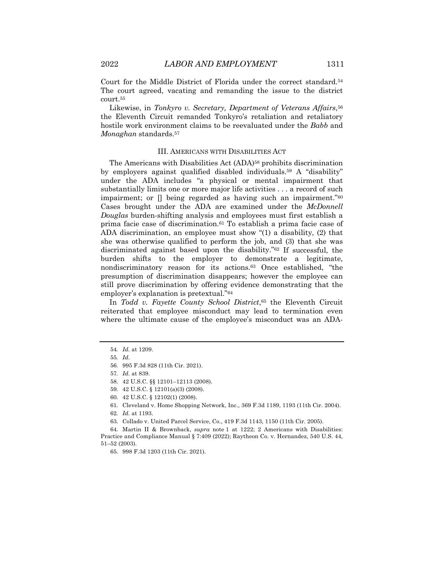Court for the Middle District of Florida under the correct standard.54 The court agreed, vacating and remanding the issue to the district court.55

Likewise, in *Tonkyro v. Secretary, Department of Veterans Affairs*,56 the Eleventh Circuit remanded Tonkyro's retaliation and retaliatory hostile work environment claims to be reevaluated under the *Babb* and *Monaghan* standards.57

#### III. AMERICANS WITH DISABILITIES ACT

The Americans with Disabilities Act (ADA)<sup>58</sup> prohibits discrimination by employers against qualified disabled individuals.59 A "disability" under the ADA includes "a physical or mental impairment that substantially limits one or more major life activities . . . a record of such impairment; or [] being regarded as having such an impairment."60 Cases brought under the ADA are examined under the *McDonnell Douglas* burden-shifting analysis and employees must first establish a prima facie case of discrimination.61 To establish a prima facie case of ADA discrimination, an employee must show "(1) a disability, (2) that she was otherwise qualified to perform the job, and (3) that she was discriminated against based upon the disability."62 If successful, the burden shifts to the employer to demonstrate a legitimate, nondiscriminatory reason for its actions.63 Once established, "the presumption of discrimination disappears; however the employee can still prove discrimination by offering evidence demonstrating that the employer's explanation is pretextual."64

In *Todd v. Fayette County School District*,65 the Eleventh Circuit reiterated that employee misconduct may lead to termination even where the ultimate cause of the employee's misconduct was an ADA-

<sup>54</sup>*. Id.* at 1209.

<sup>55</sup>*. Id.*

<sup>56.</sup> 995 F.3d 828 (11th Cir. 2021).

<sup>57</sup>*. Id.* at 839.

<sup>58.</sup> 42 U.S.C. §§ 12101–12113 (2008).

<sup>59.</sup> 42 U.S.C. § 12101(a)(3) (2008).

<sup>60.</sup> 42 U.S.C. § 12102(1) (2008).

<sup>61.</sup> Cleveland v. Home Shopping Network, Inc., 369 F.3d 1189, 1193 (11th Cir. 2004).

<sup>62</sup>*. Id.* at 1193.

<sup>63.</sup> Collado v. United Parcel Service, Co., 419 F.3d 1143, 1150 (11th Cir. 2005).

<sup>64.</sup> Martin II & Brownback, *supra* note 1 at 1222; 2 Americans with Disabilities: Practice and Compliance Manual § 7:409 (2022); Raytheon Co. v. Hernandez, 540 U.S. 44, 51–52 (2003).

<sup>65.</sup> 998 F.3d 1203 (11th Cir. 2021).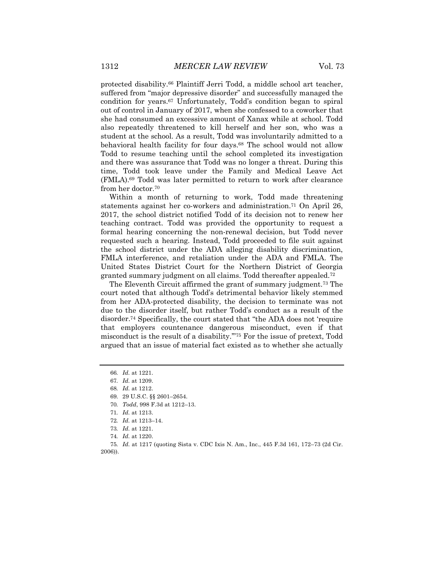protected disability.66 Plaintiff Jerri Todd, a middle school art teacher, suffered from "major depressive disorder" and successfully managed the condition for years.67 Unfortunately, Todd's condition began to spiral out of control in January of 2017, when she confessed to a coworker that she had consumed an excessive amount of Xanax while at school. Todd also repeatedly threatened to kill herself and her son, who was a student at the school. As a result, Todd was involuntarily admitted to a behavioral health facility for four days.68 The school would not allow Todd to resume teaching until the school completed its investigation and there was assurance that Todd was no longer a threat. During this time, Todd took leave under the Family and Medical Leave Act (FMLA).69 Todd was later permitted to return to work after clearance from her doctor.70

Within a month of returning to work, Todd made threatening statements against her co-workers and administration.71 On April 26, 2017, the school district notified Todd of its decision not to renew her teaching contract. Todd was provided the opportunity to request a formal hearing concerning the non-renewal decision, but Todd never requested such a hearing. Instead, Todd proceeded to file suit against the school district under the ADA alleging disability discrimination, FMLA interference, and retaliation under the ADA and FMLA. The United States District Court for the Northern District of Georgia granted summary judgment on all claims. Todd thereafter appealed.72

The Eleventh Circuit affirmed the grant of summary judgment.73 The court noted that although Todd's detrimental behavior likely stemmed from her ADA-protected disability, the decision to terminate was not due to the disorder itself, but rather Todd's conduct as a result of the disorder.74 Specifically, the court stated that "the ADA does not 'require that employers countenance dangerous misconduct, even if that misconduct is the result of a disability.'"75 For the issue of pretext, Todd argued that an issue of material fact existed as to whether she actually

<sup>66</sup>*. Id.* at 1221.

<sup>67</sup>*. Id.* at 1209.

<sup>68</sup>*. Id.* at 1212.

<sup>69.</sup> 29 U.S.C. §§ 2601–2654.

<sup>70</sup>*. Todd*, 998 F.3d at 1212–13.

<sup>71</sup>*. Id.* at 1213.

<sup>72</sup>*. Id.* at 1213–14.

<sup>73</sup>*. Id.* at 1221.

<sup>74</sup>*. Id.* at 1220.

<sup>75</sup>*. Id.* at 1217 (quoting Sista v. CDC Ixis N. Am., Inc., 445 F.3d 161, 172–73 (2d Cir. 2006)).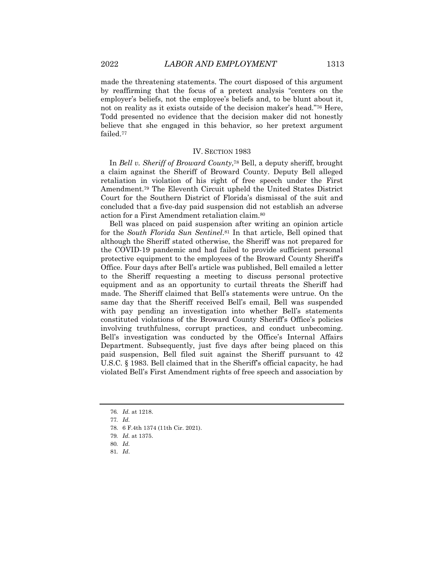made the threatening statements. The court disposed of this argument by reaffirming that the focus of a pretext analysis "centers on the employer's beliefs, not the employee's beliefs and, to be blunt about it, not on reality as it exists outside of the decision maker's head."76 Here, Todd presented no evidence that the decision maker did not honestly believe that she engaged in this behavior, so her pretext argument failed.77

#### IV. SECTION 1983

In *Bell v. Sheriff of Broward County*,78 Bell, a deputy sheriff, brought a claim against the Sheriff of Broward County. Deputy Bell alleged retaliation in violation of his right of free speech under the First Amendment.79 The Eleventh Circuit upheld the United States District Court for the Southern District of Florida's dismissal of the suit and concluded that a five-day paid suspension did not establish an adverse action for a First Amendment retaliation claim.80

Bell was placed on paid suspension after writing an opinion article for the *South Florida Sun Sentinel*.81 In that article, Bell opined that although the Sheriff stated otherwise, the Sheriff was not prepared for the COVID-19 pandemic and had failed to provide sufficient personal protective equipment to the employees of the Broward County Sheriff's Office. Four days after Bell's article was published, Bell emailed a letter to the Sheriff requesting a meeting to discuss personal protective equipment and as an opportunity to curtail threats the Sheriff had made. The Sheriff claimed that Bell's statements were untrue. On the same day that the Sheriff received Bell's email, Bell was suspended with pay pending an investigation into whether Bell's statements constituted violations of the Broward County Sheriff's Office's policies involving truthfulness, corrupt practices, and conduct unbecoming. Bell's investigation was conducted by the Office's Internal Affairs Department. Subsequently, just five days after being placed on this paid suspension, Bell filed suit against the Sheriff pursuant to 42 U.S.C. § 1983. Bell claimed that in the Sheriff's official capacity, he had violated Bell's First Amendment rights of free speech and association by

<sup>76</sup>*. Id.* at 1218.

<sup>77</sup>*. Id.*

<sup>78.</sup> 6 F.4th 1374 (11th Cir. 2021).

<sup>79</sup>*. Id.* at 1375.

<sup>80</sup>*. Id.*

<sup>81</sup>*. Id*.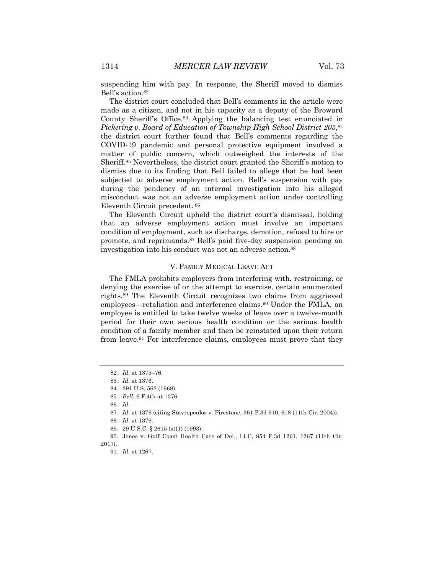suspending him with pay. In response, the Sheriff moved to dismiss Bell's action.82

The district court concluded that Bell's comments in the article were made as a citizen, and not in his capacity as a deputy of the Broward County Sheriff's Office.83 Applying the balancing test enunciated in *Pickering v. Board of Education of Township High School District 205*,84 the district court further found that Bell's comments regarding the COVID-19 pandemic and personal protective equipment involved a matter of public concern, which outweighed the interests of the Sheriff.85 Nevertheless, the district court granted the Sheriff's motion to dismiss due to its finding that Bell failed to allege that he had been subjected to adverse employment action. Bell's suspension with pay during the pendency of an internal investigation into his alleged misconduct was not an adverse employment action under controlling Eleventh Circuit precedent. <sup>86</sup>

The Eleventh Circuit upheld the district court's dismissal, holding that an adverse employment action must involve an important condition of employment, such as discharge, demotion, refusal to hire or promote, and reprimands.87 Bell's paid five-day suspension pending an investigation into his conduct was not an adverse action.88

#### V. FAMILY MEDICAL LEAVE ACT

The FMLA prohibits employers from interfering with, restraining, or denying the exercise of or the attempt to exercise, certain enumerated rights.89 The Eleventh Circuit recognizes two claims from aggrieved employees—retaliation and interference claims.<sup>90</sup> Under the FMLA, an employee is entitled to take twelve weeks of leave over a twelve-month period for their own serious health condition or the serious health condition of a family member and then be reinstated upon their return from leave.91 For interference claims, employees must prove that they

<sup>82</sup>*. Id.* at 1375–76.

<sup>83</sup>*. Id.* at 1376.

<sup>84.</sup> 391 U.S. 563 (1968).

<sup>85</sup>*. Bell,* 6 F.4th at 1376.

<sup>86</sup>*. Id.*

<sup>87</sup>*. Id.* at 1379 (citing Stavropoulos v. Firestone, 361 F.3d 610, 618 (11th Cir. 2004)).

<sup>88</sup>*. Id.* at 1379.

<sup>89.</sup> 29 U.S.C. § 2615 (a)(1) (1993).

<sup>90.</sup> Jones v. Gulf Coast Health Care of Del., LLC, 854 F.3d 1261, 1267 (11th Cir. 2017).

<sup>91</sup>*. Id.* at 1267.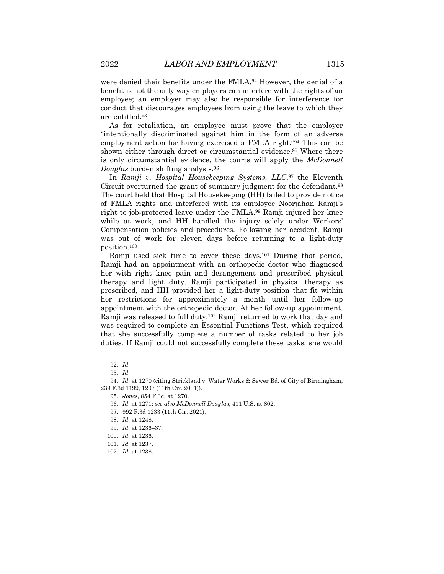were denied their benefits under the FMLA.<sup>92</sup> However, the denial of a benefit is not the only way employers can interfere with the rights of an employee; an employer may also be responsible for interference for conduct that discourages employees from using the leave to which they are entitled.93

As for retaliation, an employee must prove that the employer "intentionally discriminated against him in the form of an adverse employment action for having exercised a FMLA right."94 This can be shown either through direct or circumstantial evidence.95 Where there is only circumstantial evidence, the courts will apply the *McDonnell Douglas* burden shifting analysis.96

In *Ramji v. Hospital Housekeeping Systems, LLC*,<sup>97</sup> the Eleventh Circuit overturned the grant of summary judgment for the defendant.98 The court held that Hospital Housekeeping (HH) failed to provide notice of FMLA rights and interfered with its employee Noorjahan Ramji's right to job-protected leave under the FMLA.99 Ramji injured her knee while at work, and HH handled the injury solely under Workers' Compensation policies and procedures. Following her accident, Ramji was out of work for eleven days before returning to a light-duty position.100

Ramji used sick time to cover these days.<sup>101</sup> During that period, Ramji had an appointment with an orthopedic doctor who diagnosed her with right knee pain and derangement and prescribed physical therapy and light duty. Ramji participated in physical therapy as prescribed, and HH provided her a light-duty position that fit within her restrictions for approximately a month until her follow-up appointment with the orthopedic doctor. At her follow-up appointment, Ramji was released to full duty.102 Ramji returned to work that day and was required to complete an Essential Functions Test, which required that she successfully complete a number of tasks related to her job duties. If Ramji could not successfully complete these tasks, she would

<sup>92</sup>*. Id.*

<sup>93</sup>*. Id.*

<sup>94</sup>*. Id.* at 1270 (citing Strickland v. Water Works & Sewer Bd. of City of Birmingham, 239 F.3d 1199, 1207 (11th Cir. 2001)).

<sup>95</sup>*. Jones*, 854 F.3d*.* at 1270.

<sup>96</sup>*. Id.* at 1271; *see also McDonnell Douglas*, 411 U.S. at 802.

<sup>97.</sup> 992 F.3d 1233 (11th Cir. 2021).

<sup>98</sup>*. Id.* at 1248.

<sup>99</sup>*. Id.* at 1236–37.

<sup>100</sup>*. Id.* at 1236.

<sup>101</sup>*. Id.* at 1237.

<sup>102</sup>*. Id.* at 1238.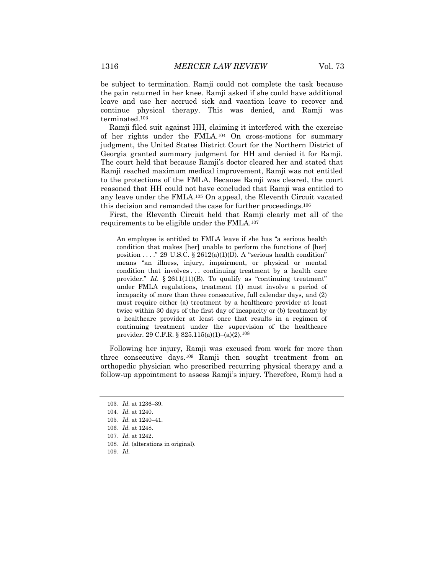be subject to termination. Ramji could not complete the task because the pain returned in her knee. Ramji asked if she could have additional leave and use her accrued sick and vacation leave to recover and continue physical therapy. This was denied, and Ramji was terminated.103

Ramji filed suit against HH, claiming it interfered with the exercise of her rights under the FMLA.104 On cross-motions for summary judgment, the United States District Court for the Northern District of Georgia granted summary judgment for HH and denied it for Ramji. The court held that because Ramji's doctor cleared her and stated that Ramji reached maximum medical improvement, Ramji was not entitled to the protections of the FMLA. Because Ramji was cleared, the court reasoned that HH could not have concluded that Ramji was entitled to any leave under the FMLA.105 On appeal, the Eleventh Circuit vacated this decision and remanded the case for further proceedings.106

First, the Eleventh Circuit held that Ramji clearly met all of the requirements to be eligible under the FMLA.107

An employee is entitled to FMLA leave if she has "a serious health condition that makes [her] unable to perform the functions of [her] position . . . ." 29 U.S.C. § 2612(a)(1)(D). A "serious health condition" means "an illness, injury, impairment, or physical or mental condition that involves . . . continuing treatment by a health care provider." *Id.* § 2611(11)(B). To qualify as "continuing treatment" under FMLA regulations, treatment (1) must involve a period of incapacity of more than three consecutive, full calendar days, and (2) must require either (a) treatment by a healthcare provider at least twice within 30 days of the first day of incapacity or (b) treatment by a healthcare provider at least once that results in a regimen of continuing treatment under the supervision of the healthcare provider. 29 C.F.R. § 825.115(a)(1)–(a)(2).108

Following her injury, Ramji was excused from work for more than three consecutive days.109 Ramji then sought treatment from an orthopedic physician who prescribed recurring physical therapy and a follow-up appointment to assess Ramji's injury. Therefore, Ramji had a

<sup>103</sup>*. Id.* at 1236–39.

<sup>104</sup>*. Id.* at 1240.

<sup>105</sup>*. Id.* at 1240–41.

<sup>106</sup>*. Id.* at 1248.

<sup>107</sup>*. Id.* at 1242.

<sup>108</sup>*. Id.* (alterations in original).

<sup>109</sup>*. Id.*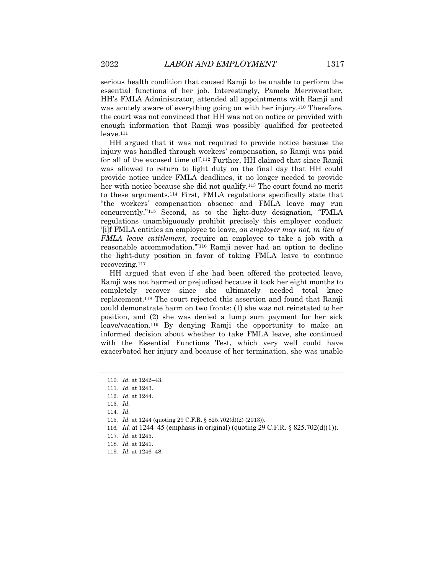serious health condition that caused Ramji to be unable to perform the essential functions of her job. Interestingly, Pamela Merriweather, HH's FMLA Administrator, attended all appointments with Ramji and was acutely aware of everything going on with her injury.110 Therefore, the court was not convinced that HH was not on notice or provided with enough information that Ramji was possibly qualified for protected leave.111

HH argued that it was not required to provide notice because the injury was handled through workers' compensation, so Ramji was paid for all of the excused time off.112 Further, HH claimed that since Ramji was allowed to return to light duty on the final day that HH could provide notice under FMLA deadlines, it no longer needed to provide her with notice because she did not qualify.<sup>113</sup> The court found no merit to these arguments.114 First, FMLA regulations specifically state that "the workers' compensation absence and FMLA leave may run concurrently."115 Second, as to the light-duty designation, "FMLA regulations unambiguously prohibit precisely this employer conduct: '[i]f FMLA entitles an employee to leave, *an employer may not, in lieu of FMLA leave entitlement*, require an employee to take a job with a reasonable accommodation.'"116 Ramji never had an option to decline the light-duty position in favor of taking FMLA leave to continue recovering.117

HH argued that even if she had been offered the protected leave, Ramji was not harmed or prejudiced because it took her eight months to completely recover since she ultimately needed total knee replacement.118 The court rejected this assertion and found that Ramji could demonstrate harm on two fronts: (1) she was not reinstated to her position, and (2) she was denied a lump sum payment for her sick leave/vacation.119 By denying Ramji the opportunity to make an informed decision about whether to take FMLA leave, she continued with the Essential Functions Test, which very well could have exacerbated her injury and because of her termination, she was unable

116*. Id.* at 1244–45 (emphasis in original) (quoting 29 C.F.R. § 825.702(d)(1)).

119*. Id.* at 1246–48.

<sup>110</sup>*. Id.* at 1242–43.

<sup>111</sup>*. Id.* at 1243.

<sup>112</sup>*. Id.* at 1244.

<sup>113</sup>*. Id.*

<sup>114</sup>*. Id.*

<sup>115</sup>*. Id.* at 1244 (quoting 29 C.F.R. § 825.702(d)(2) (2013)).

<sup>117</sup>*. Id.* at 1245.

<sup>118</sup>*. Id.* at 1241.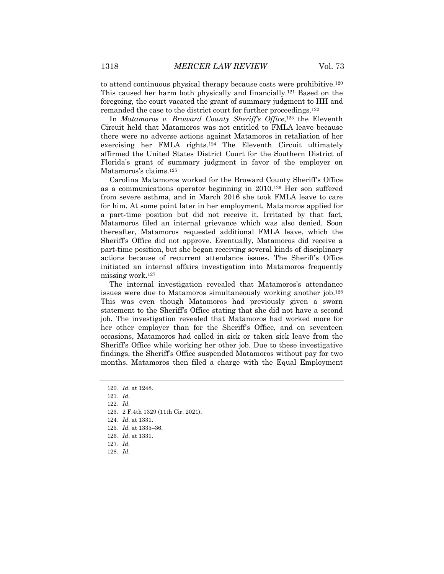to attend continuous physical therapy because costs were prohibitive.120 This caused her harm both physically and financially.121 Based on the foregoing, the court vacated the grant of summary judgment to HH and remanded the case to the district court for further proceedings.122

In *Matamoros v. Broward County Sheriff's Office*,123 the Eleventh Circuit held that Matamoros was not entitled to FMLA leave because there were no adverse actions against Matamoros in retaliation of her exercising her FMLA rights.124 The Eleventh Circuit ultimately affirmed the United States District Court for the Southern District of Florida's grant of summary judgment in favor of the employer on Matamoros's claims.125

Carolina Matamoros worked for the Broward County Sheriff's Office as a communications operator beginning in 2010.126 Her son suffered from severe asthma, and in March 2016 she took FMLA leave to care for him. At some point later in her employment, Matamoros applied for a part-time position but did not receive it. Irritated by that fact, Matamoros filed an internal grievance which was also denied. Soon thereafter, Matamoros requested additional FMLA leave, which the Sheriff's Office did not approve. Eventually, Matamoros did receive a part-time position, but she began receiving several kinds of disciplinary actions because of recurrent attendance issues. The Sheriff's Office initiated an internal affairs investigation into Matamoros frequently missing work.127

The internal investigation revealed that Matamoros's attendance issues were due to Matamoros simultaneously working another job.128 This was even though Matamoros had previously given a sworn statement to the Sheriff's Office stating that she did not have a second job. The investigation revealed that Matamoros had worked more for her other employer than for the Sheriff's Office, and on seventeen occasions, Matamoros had called in sick or taken sick leave from the Sheriff's Office while working her other job. Due to these investigative findings, the Sheriff's Office suspended Matamoros without pay for two months. Matamoros then filed a charge with the Equal Employment

<sup>120</sup>*. Id.* at 1248.

<sup>121</sup>*. Id.*

<sup>122</sup>*. Id.*

<sup>123.</sup> 2 F.4th 1329 (11th Cir. 2021).

<sup>124</sup>*. Id*. at 1331.

<sup>125</sup>*. Id.* at 1335–36.

<sup>126</sup>*. Id*. at 1331.

<sup>127</sup>*. Id.*

<sup>128</sup>*. Id.*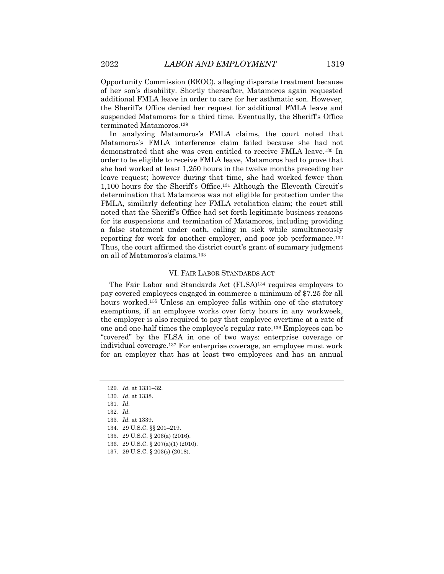Opportunity Commission (EEOC), alleging disparate treatment because of her son's disability. Shortly thereafter, Matamoros again requested additional FMLA leave in order to care for her asthmatic son. However, the Sheriff's Office denied her request for additional FMLA leave and suspended Matamoros for a third time. Eventually, the Sheriff's Office terminated Matamoros.129

In analyzing Matamoros's FMLA claims, the court noted that Matamoros's FMLA interference claim failed because she had not demonstrated that she was even entitled to receive FMLA leave.130 In order to be eligible to receive FMLA leave, Matamoros had to prove that she had worked at least 1,250 hours in the twelve months preceding her leave request; however during that time, she had worked fewer than 1,100 hours for the Sheriff's Office.131 Although the Eleventh Circuit's determination that Matamoros was not eligible for protection under the FMLA, similarly defeating her FMLA retaliation claim; the court still noted that the Sheriff's Office had set forth legitimate business reasons for its suspensions and termination of Matamoros, including providing a false statement under oath, calling in sick while simultaneously reporting for work for another employer, and poor job performance.132 Thus, the court affirmed the district court's grant of summary judgment on all of Matamoros's claims.133

#### VI. FAIR LABOR STANDARDS ACT

The Fair Labor and Standards Act (FLSA)134 requires employers to pay covered employees engaged in commerce a minimum of \$7.25 for all hours worked.135 Unless an employee falls within one of the statutory exemptions, if an employee works over forty hours in any workweek, the employer is also required to pay that employee overtime at a rate of one and one-half times the employee's regular rate.136 Employees can be "covered" by the FLSA in one of two ways: enterprise coverage or individual coverage.137 For enterprise coverage, an employee must work for an employer that has at least two employees and has an annual

<sup>129</sup>*. Id.* at 1331–32. 130*. Id.* at 1338.

<sup>131</sup>*. Id.*

<sup>132</sup>*. Id.*

<sup>133</sup>*. Id.* at 1339.

<sup>134.</sup> 29 U.S.C. §§ 201–219.

<sup>135.</sup> 29 U.S.C. § 206(a) (2016).

<sup>136.</sup> 29 U.S.C. § 207(a)(1) (2010).

<sup>137.</sup> 29 U.S.C. § 203(s) (2018).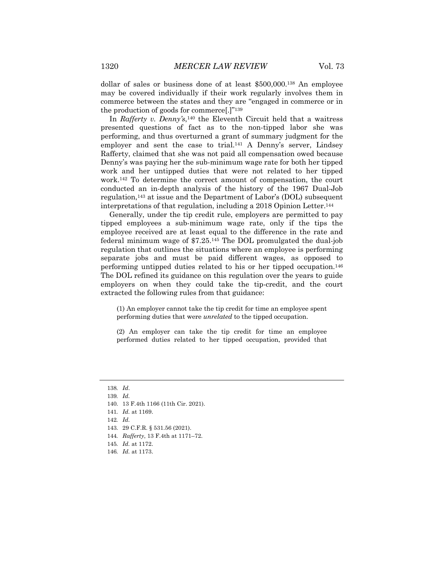dollar of sales or business done of at least \$500,000.138 An employee may be covered individually if their work regularly involves them in commerce between the states and they are "engaged in commerce or in the production of goods for commerce[.]"139

In *Rafferty v. Denny's*,140 the Eleventh Circuit held that a waitress presented questions of fact as to the non-tipped labor she was performing, and thus overturned a grant of summary judgment for the employer and sent the case to trial.<sup>141</sup> A Denny's server, Lindsey Rafferty, claimed that she was not paid all compensation owed because Denny's was paying her the sub-minimum wage rate for both her tipped work and her untipped duties that were not related to her tipped work.142 To determine the correct amount of compensation, the court conducted an in-depth analysis of the history of the 1967 Dual-Job regulation,143 at issue and the Department of Labor's (DOL) subsequent interpretations of that regulation, including a 2018 Opinion Letter.144

Generally, under the tip credit rule, employers are permitted to pay tipped employees a sub-minimum wage rate, only if the tips the employee received are at least equal to the difference in the rate and federal minimum wage of \$7.25.145 The DOL promulgated the dual-job regulation that outlines the situations where an employee is performing separate jobs and must be paid different wages, as opposed to performing untipped duties related to his or her tipped occupation.146 The DOL refined its guidance on this regulation over the years to guide employers on when they could take the tip-credit, and the court extracted the following rules from that guidance:

(1) An employer cannot take the tip credit for time an employee spent performing duties that were *unrelated* to the tipped occupation.

(2) An employer can take the tip credit for time an employee performed duties related to her tipped occupation, provided that

141*. Id.* at 1169.

- 143. 29 C.F.R. § 531.56 (2021).
- 144*. Rafferty*, 13 F.4th at 1171–72.
- 145*. Id.* at 1172.
- 146*. Id.* at 1173.

<sup>138</sup>*. Id*.

<sup>139</sup>*. Id.*

<sup>140.</sup> 13 F.4th 1166 (11th Cir. 2021).

<sup>142</sup>*. Id.*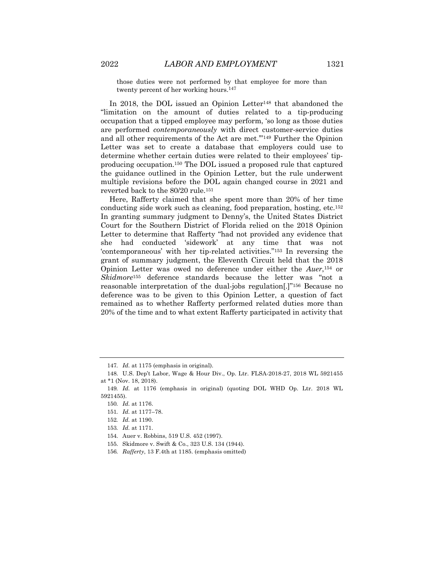those duties were not performed by that employee for more than twenty percent of her working hours.<sup>147</sup>

In 2018, the DOL issued an Opinion Letter<sup>148</sup> that abandoned the "limitation on the amount of duties related to a tip-producing occupation that a tipped employee may perform, 'so long as those duties are performed *contemporaneously* with direct customer-service duties and all other requirements of the Act are met.'"149 Further the Opinion Letter was set to create a database that employers could use to determine whether certain duties were related to their employees' tipproducing occupation.150 The DOL issued a proposed rule that captured the guidance outlined in the Opinion Letter, but the rule underwent multiple revisions before the DOL again changed course in 2021 and reverted back to the 80/20 rule.151

Here, Rafferty claimed that she spent more than 20% of her time conducting side work such as cleaning, food preparation, hosting, etc.152 In granting summary judgment to Denny's, the United States District Court for the Southern District of Florida relied on the 2018 Opinion Letter to determine that Rafferty "had not provided any evidence that she had conducted 'sidework' at any time that was not 'contemporaneous' with her tip-related activities."153 In reversing the grant of summary judgment, the Eleventh Circuit held that the 2018 Opinion Letter was owed no deference under either the *Auer*,154 or *Skidmore*<sup>155</sup> deference standards because the letter was "not a reasonable interpretation of the dual-jobs regulation[.]"156 Because no deference was to be given to this Opinion Letter, a question of fact remained as to whether Rafferty performed related duties more than 20% of the time and to what extent Rafferty participated in activity that

<sup>147</sup>*. Id.* at 1175 (emphasis in original).

<sup>148.</sup> U.S. Dep't Labor, Wage & Hour Div., Op. Ltr. FLSA-2018-27, 2018 WL 5921455 at \*1 (Nov. 18, 2018).

<sup>149</sup>*. Id.* at 1176 (emphasis in original) (quoting DOL WHD Op. Ltr. 2018 WL 5921455).

<sup>150</sup>*. Id.* at 1176.

<sup>151</sup>*. Id.* at 1177–78.

<sup>152</sup>*. Id.* at 1190.

<sup>153</sup>*. Id.* at 1171.

<sup>154.</sup> Auer v. Robbins, 519 U.S. 452 (1997).

<sup>155.</sup> Skidmore v. Swift & Co., 323 U.S. 134 (1944).

<sup>156</sup>*. Rafferty*, 13 F.4th at 1185. (emphasis omitted)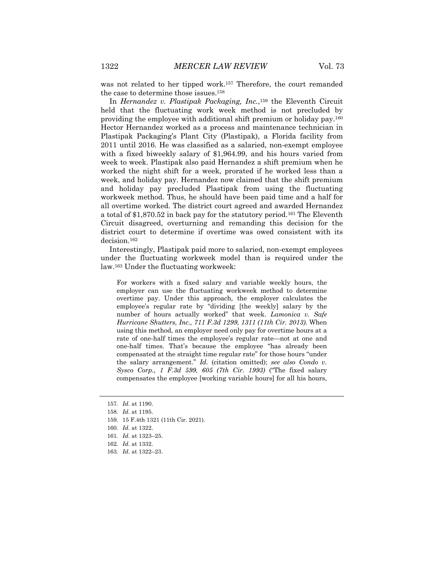was not related to her tipped work.<sup>157</sup> Therefore, the court remanded the case to determine those issues.158

In *Hernandez v. Plastipak Packaging, Inc.*,159 the Eleventh Circuit held that the fluctuating work week method is not precluded by providing the employee with additional shift premium or holiday pay.160 Hector Hernandez worked as a process and maintenance technician in Plastipak Packaging's Plant City (Plastipak), a Florida facility from 2011 until 2016. He was classified as a salaried, non-exempt employee with a fixed biweekly salary of \$1,964.99, and his hours varied from week to week. Plastipak also paid Hernandez a shift premium when he worked the night shift for a week, prorated if he worked less than a week, and holiday pay. Hernandez now claimed that the shift premium and holiday pay precluded Plastipak from using the fluctuating workweek method. Thus, he should have been paid time and a half for all overtime worked. The district court agreed and awarded Hernandez a total of \$1,870.52 in back pay for the statutory period.161 The Eleventh Circuit disagreed, overturning and remanding this decision for the district court to determine if overtime was owed consistent with its decision.162

Interestingly, Plastipak paid more to salaried, non-exempt employees under the fluctuating workweek model than is required under the law.163 Under the fluctuating workweek:

For workers with a fixed salary and variable weekly hours, the employer can use the fluctuating workweek method to determine overtime pay. Under this approach, the employer calculates the employee's regular rate by "dividing [the weekly] salary by the number of hours actually worked" that week. *Lamonica v. Safe Hurricane Shutters, Inc., 711 F.3d 1299, 1311 (11th Cir. 2013)*. When using this method, an employer need only pay for overtime hours at a rate of one-half times the employee's regular rate—not at one and one-half times. That's because the employee "has already been compensated at the straight time regular rate" for those hours "under the salary arrangement." *Id.* (citation omitted); *see also Condo v. Sysco Corp., 1 F.3d 599, 605 (7th Cir. 1993)* ("The fixed salary compensates the employee [working variable hours] for all his hours,

<sup>157</sup>*. Id.* at 1190.

<sup>158</sup>*. Id.* at 1195.

<sup>159.</sup> 15 F.4th 1321 (11th Cir. 2021).

<sup>160</sup>*. Id.* at 1322.

<sup>161</sup>*. Id.* at 1323–25.

<sup>162</sup>*. Id.* at 1332.

<sup>163</sup>*. Id.* at 1322–23.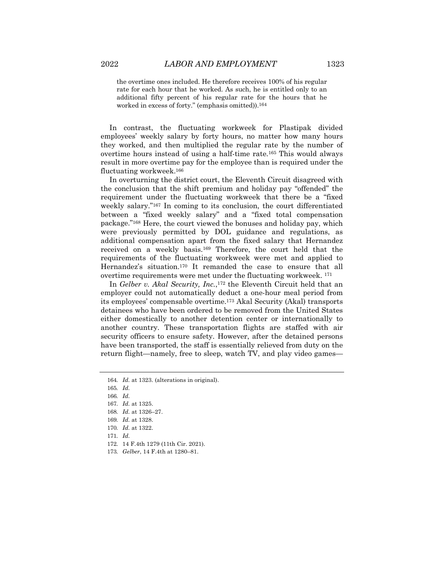the overtime ones included. He therefore receives 100% of his regular rate for each hour that he worked. As such, he is entitled only to an additional fifty percent of his regular rate for the hours that he worked in excess of forty." (emphasis omitted)).164

In contrast, the fluctuating workweek for Plastipak divided employees' weekly salary by forty hours, no matter how many hours they worked, and then multiplied the regular rate by the number of overtime hours instead of using a half-time rate.165 This would always result in more overtime pay for the employee than is required under the fluctuating workweek.166

In overturning the district court, the Eleventh Circuit disagreed with the conclusion that the shift premium and holiday pay "offended" the requirement under the fluctuating workweek that there be a "fixed weekly salary."167 In coming to its conclusion, the court differentiated between a "fixed weekly salary" and a "fixed total compensation package."168 Here, the court viewed the bonuses and holiday pay, which were previously permitted by DOL guidance and regulations, as additional compensation apart from the fixed salary that Hernandez received on a weekly basis.169 Therefore, the court held that the requirements of the fluctuating workweek were met and applied to Hernandez's situation.170 It remanded the case to ensure that all overtime requirements were met under the fluctuating workweek. 171

In *Gelber v. Akal Security, Inc.*,<sup>172</sup> the Eleventh Circuit held that an employer could not automatically deduct a one-hour meal period from its employees' compensable overtime.173 Akal Security (Akal) transports detainees who have been ordered to be removed from the United States either domestically to another detention center or internationally to another country. These transportation flights are staffed with air security officers to ensure safety. However, after the detained persons have been transported, the staff is essentially relieved from duty on the return flight—namely, free to sleep, watch TV, and play video games—

171*. Id.*

<sup>164</sup>*. Id.* at 1323. (alterations in original).

<sup>165</sup>*. Id.*

<sup>166</sup>*. Id.*

<sup>167</sup>*. Id.* at 1325.

<sup>168</sup>*. Id.* at 1326–27.

<sup>169</sup>*. Id.* at 1328.

<sup>170</sup>*. Id.* at 1322.

<sup>172.</sup> 14 F.4th 1279 (11th Cir. 2021).

<sup>173</sup>*. Gelber*, 14 F.4th at 1280–81.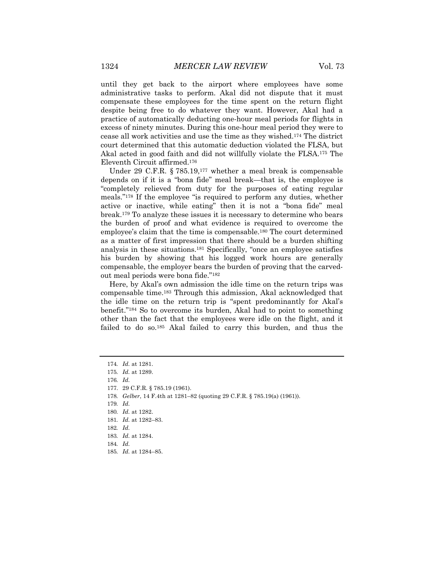until they get back to the airport where employees have some administrative tasks to perform. Akal did not dispute that it must compensate these employees for the time spent on the return flight despite being free to do whatever they want. However, Akal had a practice of automatically deducting one-hour meal periods for flights in excess of ninety minutes. During this one-hour meal period they were to cease all work activities and use the time as they wished.174 The district court determined that this automatic deduction violated the FLSA, but Akal acted in good faith and did not willfully violate the FLSA.175 The Eleventh Circuit affirmed.176

Under 29 C.F.R. § 785.19,177 whether a meal break is compensable depends on if it is a "bona fide" meal break—that is, the employee is "completely relieved from duty for the purposes of eating regular meals."178 If the employee "is required to perform any duties, whether active or inactive, while eating" then it is not a "bona fide" meal break.179 To analyze these issues it is necessary to determine who bears the burden of proof and what evidence is required to overcome the employee's claim that the time is compensable.180 The court determined as a matter of first impression that there should be a burden shifting analysis in these situations.181 Specifically, "once an employee satisfies his burden by showing that his logged work hours are generally compensable, the employer bears the burden of proving that the carvedout meal periods were bona fide."182

Here, by Akal's own admission the idle time on the return trips was compensable time.183 Through this admission, Akal acknowledged that the idle time on the return trip is "spent predominantly for Akal's benefit."184 So to overcome its burden, Akal had to point to something other than the fact that the employees were idle on the flight, and it failed to do so.185 Akal failed to carry this burden, and thus the

<sup>174</sup>*. Id.* at 1281.

<sup>175</sup>*. Id.* at 1289.

<sup>176</sup>*. Id.*

<sup>177.</sup> 29 C.F.R. § 785.19 (1961).

<sup>178</sup>*. Gelber*, 14 F.4th at 1281–82 (quoting 29 C.F.R. § 785.19(a) (1961)).

<sup>179</sup>*. Id.*

<sup>180</sup>*. Id.* at 1282.

<sup>181</sup>*. Id.* at 1282–83.

<sup>182</sup>*. Id.*

<sup>183</sup>*. Id.* at 1284.

<sup>184</sup>*. Id.*

<sup>185</sup>*. Id.* at 1284–85.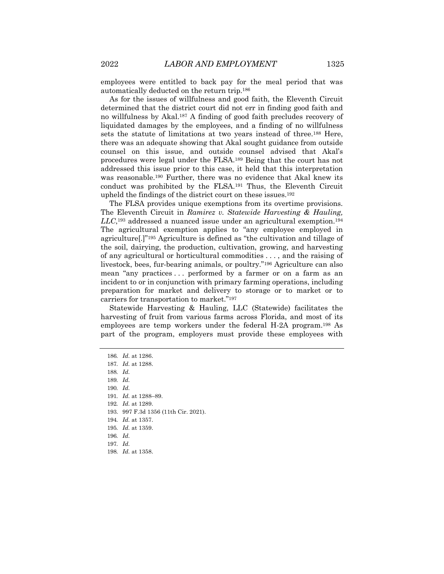employees were entitled to back pay for the meal period that was automatically deducted on the return trip.186

As for the issues of willfulness and good faith, the Eleventh Circuit determined that the district court did not err in finding good faith and no willfulness by Akal.187 A finding of good faith precludes recovery of liquidated damages by the employees, and a finding of no willfulness sets the statute of limitations at two years instead of three.188 Here, there was an adequate showing that Akal sought guidance from outside counsel on this issue, and outside counsel advised that Akal's procedures were legal under the FLSA.189 Being that the court has not addressed this issue prior to this case, it held that this interpretation was reasonable.190 Further, there was no evidence that Akal knew its conduct was prohibited by the FLSA.191 Thus, the Eleventh Circuit upheld the findings of the district court on these issues.192

The FLSA provides unique exemptions from its overtime provisions. The Eleventh Circuit in *Ramirez v. Statewide Harvesting & Hauling, LLC*,193 addressed a nuanced issue under an agricultural exemption.194 The agricultural exemption applies to "any employee employed in agriculture[.]"195 Agriculture is defined as "the cultivation and tillage of the soil, dairying, the production, cultivation, growing, and harvesting of any agricultural or horticultural commodities . . . , and the raising of livestock, bees, fur-bearing animals, or poultry."196 Agriculture can also mean "any practices . . . performed by a farmer or on a farm as an incident to or in conjunction with primary farming operations, including preparation for market and delivery to storage or to market or to carriers for transportation to market."197

Statewide Harvesting & Hauling, LLC (Statewide) facilitates the harvesting of fruit from various farms across Florida, and most of its employees are temp workers under the federal H-2A program.198 As part of the program, employers must provide these employees with

188*. Id.*

190*. Id.*

191*. Id.* at 1288–89.

192*. Id.* at 1289.

193. 997 F.3d 1356 (11th Cir. 2021).

194*. Id.* at 1357.

195*. Id.* at 1359.

196*. Id.*

197*. Id.*

198*. Id.* at 1358.

<sup>186</sup>*. Id.* at 1286.

<sup>187</sup>*. Id.* at 1288.

<sup>189</sup>*. Id.*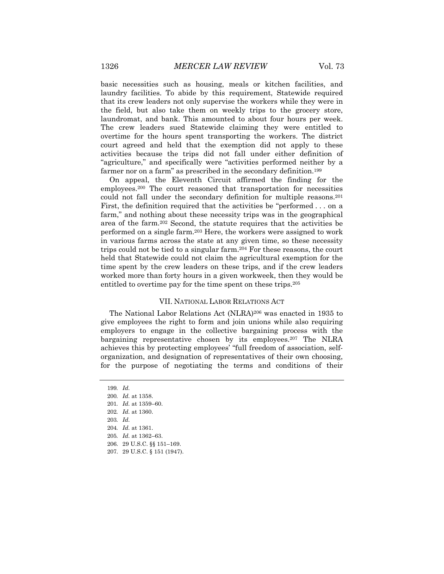basic necessities such as housing, meals or kitchen facilities, and laundry facilities. To abide by this requirement, Statewide required that its crew leaders not only supervise the workers while they were in the field, but also take them on weekly trips to the grocery store, laundromat, and bank. This amounted to about four hours per week. The crew leaders sued Statewide claiming they were entitled to overtime for the hours spent transporting the workers. The district court agreed and held that the exemption did not apply to these activities because the trips did not fall under either definition of "agriculture," and specifically were "activities performed neither by a farmer nor on a farm" as prescribed in the secondary definition.<sup>199</sup>

On appeal, the Eleventh Circuit affirmed the finding for the employees.200 The court reasoned that transportation for necessities could not fall under the secondary definition for multiple reasons.201 First, the definition required that the activities be "performed . . . on a farm," and nothing about these necessity trips was in the geographical area of the farm.202 Second, the statute requires that the activities be performed on a single farm.203 Here, the workers were assigned to work in various farms across the state at any given time, so these necessity trips could not be tied to a singular farm.<sup>204</sup> For these reasons, the court held that Statewide could not claim the agricultural exemption for the time spent by the crew leaders on these trips, and if the crew leaders worked more than forty hours in a given workweek, then they would be entitled to overtime pay for the time spent on these trips.205

#### VII. NATIONAL LABOR RELATIONS ACT

The National Labor Relations Act (NLRA)206 was enacted in 1935 to give employees the right to form and join unions while also requiring employers to engage in the collective bargaining process with the bargaining representative chosen by its employees.<sup>207</sup> The NLRA achieves this by protecting employees' "full freedom of association, selforganization, and designation of representatives of their own choosing, for the purpose of negotiating the terms and conditions of their

199*. Id.* 200*. Id.* at 1358. 201*. Id.* at 1359–60. 202*. Id.* at 1360. 203*. Id.* 204*. Id.* at 1361. 205*. Id.* at 1362–63. 206. 29 U.S.C. §§ 151–169. 207. 29 U.S.C. § 151 (1947).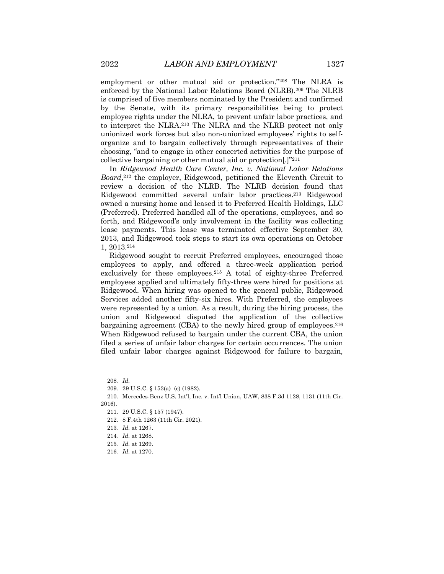employment or other mutual aid or protection."208 The NLRA is enforced by the National Labor Relations Board (NLRB).209 The NLRB is comprised of five members nominated by the President and confirmed by the Senate, with its primary responsibilities being to protect employee rights under the NLRA, to prevent unfair labor practices, and to interpret the NLRA.210 The NLRA and the NLRB protect not only unionized work forces but also non-unionized employees' rights to selforganize and to bargain collectively through representatives of their choosing, "and to engage in other concerted activities for the purpose of collective bargaining or other mutual aid or protection[.]"211

In *Ridgewood Health Care Center, Inc. v. National Labor Relations Board*,<sup>212</sup> the employer, Ridgewood, petitioned the Eleventh Circuit to review a decision of the NLRB. The NLRB decision found that Ridgewood committed several unfair labor practices.213 Ridgewood owned a nursing home and leased it to Preferred Health Holdings, LLC (Preferred). Preferred handled all of the operations, employees, and so forth, and Ridgewood's only involvement in the facility was collecting lease payments. This lease was terminated effective September 30, 2013, and Ridgewood took steps to start its own operations on October 1, 2013.214

Ridgewood sought to recruit Preferred employees, encouraged those employees to apply, and offered a three-week application period exclusively for these employees.215 A total of eighty-three Preferred employees applied and ultimately fifty-three were hired for positions at Ridgewood. When hiring was opened to the general public, Ridgewood Services added another fifty-six hires. With Preferred, the employees were represented by a union. As a result, during the hiring process, the union and Ridgewood disputed the application of the collective bargaining agreement (CBA) to the newly hired group of employees.216 When Ridgewood refused to bargain under the current CBA, the union filed a series of unfair labor charges for certain occurrences. The union filed unfair labor charges against Ridgewood for failure to bargain,

<sup>208</sup>*. Id.*

<sup>209.</sup> 29 U.S.C. § 153(a)–(c) (1982).

<sup>210.</sup> Mercedes-Benz U.S. Int'l, Inc. v. Int'l Union, UAW, 838 F.3d 1128, 1131 (11th Cir. 2016).

<sup>211.</sup> 29 U.S.C. § 157 (1947).

<sup>212.</sup> 8 F.4th 1263 (11th Cir. 2021).

<sup>213</sup>*. Id.* at 1267.

<sup>214</sup>*. Id.* at 1268.

<sup>215</sup>*. Id.* at 1269.

<sup>216</sup>*. Id.* at 1270.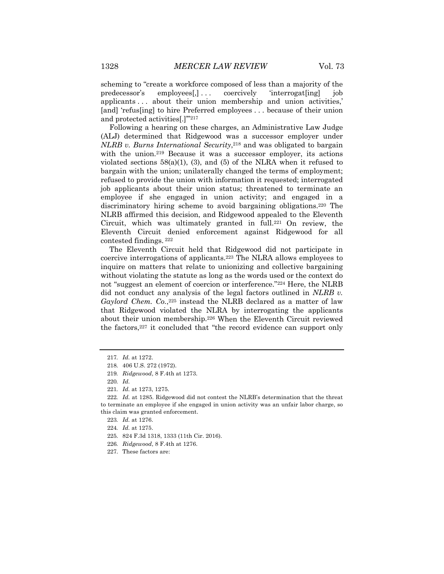scheming to "create a workforce composed of less than a majority of the predecessor's employees[,] . . . coercively 'interrogat[ing] job applicants . . . about their union membership and union activities,' [and] 'refus[ing] to hire Preferred employees . . . because of their union and protected activities[.]'"217

Following a hearing on these charges, an Administrative Law Judge (ALJ) determined that Ridgewood was a successor employer under *NLRB v. Burns International Security*,218 and was obligated to bargain with the union.<sup>219</sup> Because it was a successor employer, its actions violated sections  $58(a)(1)$ , (3), and (5) of the NLRA when it refused to bargain with the union; unilaterally changed the terms of employment; refused to provide the union with information it requested; interrogated job applicants about their union status; threatened to terminate an employee if she engaged in union activity; and engaged in a discriminatory hiring scheme to avoid bargaining obligations.220 The NLRB affirmed this decision, and Ridgewood appealed to the Eleventh Circuit, which was ultimately granted in full.<sup>221</sup> On review, the Eleventh Circuit denied enforcement against Ridgewood for all contested findings. <sup>222</sup>

The Eleventh Circuit held that Ridgewood did not participate in coercive interrogations of applicants.223 The NLRA allows employees to inquire on matters that relate to unionizing and collective bargaining without violating the statute as long as the words used or the context do not "suggest an element of coercion or interference."224 Here, the NLRB did not conduct any analysis of the legal factors outlined in *NLRB v.*  Gaylord Chem. Co.,<sup>225</sup> instead the NLRB declared as a matter of law that Ridgewood violated the NLRA by interrogating the applicants about their union membership.226 When the Eleventh Circuit reviewed the factors,227 it concluded that "the record evidence can support only

<sup>217</sup>*. Id.* at 1272.

<sup>218.</sup> 406 U.S. 272 (1972).

<sup>219</sup>*. Ridgewood*, 8 F.4th at 1273.

<sup>220</sup>*. Id.*

<sup>221</sup>*. Id.* at 1273, 1275.

<sup>222</sup>*. Id.* at 1285. Ridgewood did not contest the NLRB's determination that the threat to terminate an employee if she engaged in union activity was an unfair labor charge, so this claim was granted enforcement.

<sup>223</sup>*. Id.* at 1276.

<sup>224</sup>*. Id.* at 1275.

<sup>225.</sup> 824 F.3d 1318, 1333 (11th Cir. 2016).

<sup>226</sup>*. Ridgewood*, 8 F.4th at 1276.

<sup>227.</sup> These factors are: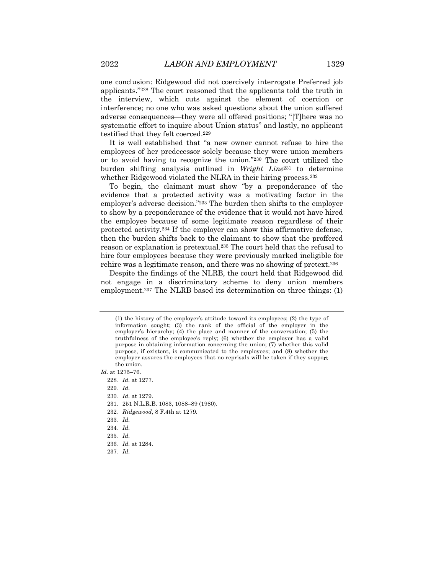one conclusion: Ridgewood did not coercively interrogate Preferred job applicants."228 The court reasoned that the applicants told the truth in the interview, which cuts against the element of coercion or interference; no one who was asked questions about the union suffered adverse consequences—they were all offered positions; "[T]here was no systematic effort to inquire about Union status" and lastly, no applicant testified that they felt coerced.229

It is well established that "a new owner cannot refuse to hire the employees of her predecessor solely because they were union members or to avoid having to recognize the union."230 The court utilized the burden shifting analysis outlined in *Wright Line*<sup>231</sup> to determine whether Ridgewood violated the NLRA in their hiring process.<sup>232</sup>

To begin, the claimant must show "by a preponderance of the evidence that a protected activity was a motivating factor in the employer's adverse decision."233 The burden then shifts to the employer to show by a preponderance of the evidence that it would not have hired the employee because of some legitimate reason regardless of their protected activity.234 If the employer can show this affirmative defense, then the burden shifts back to the claimant to show that the proffered reason or explanation is pretextual.235 The court held that the refusal to hire four employees because they were previously marked ineligible for rehire was a legitimate reason, and there was no showing of pretext.236

Despite the findings of the NLRB, the court held that Ridgewood did not engage in a discriminatory scheme to deny union members employment.<sup>237</sup> The NLRB based its determination on three things: (1)

229*. Id.*

- 230*. Id.* at 1279.
- 231. 251 N.L.R.B. 1083, 1088–89 (1980).
- 232*. Ridgewood*, 8 F.4th at 1279.
- 233*. Id.*
- 234*. Id.*
- 235*. Id.*
- 236*. Id.* at 1284.
- 237*. Id.*

<sup>(1)</sup> the history of the employer's attitude toward its employees; (2) the type of information sought; (3) the rank of the official of the employer in the employer's hierarchy; (4) the place and manner of the conversation; (5) the truthfulness of the employee's reply; (6) whether the employer has a valid purpose in obtaining information concerning the union; (7) whether this valid purpose, if existent, is communicated to the employees; and (8) whether the employer assures the employees that no reprisals will be taken if they support the union.

*Id.* at 1275–76.

<sup>228</sup>*. Id.* at 1277.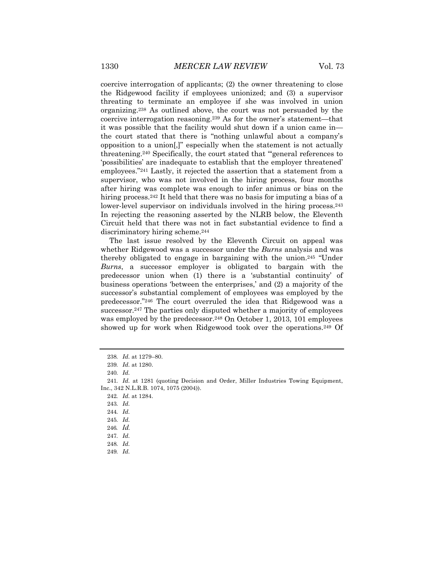coercive interrogation of applicants; (2) the owner threatening to close the Ridgewood facility if employees unionized; and (3) a supervisor threating to terminate an employee if she was involved in union organizing.238 As outlined above, the court was not persuaded by the coercive interrogation reasoning.239 As for the owner's statement—that it was possible that the facility would shut down if a union came in the court stated that there is "nothing unlawful about a company's opposition to a union[,]" especially when the statement is not actually threatening.240 Specifically, the court stated that "'general references to 'possibilities' are inadequate to establish that the employer threatened' employees."241 Lastly, it rejected the assertion that a statement from a supervisor, who was not involved in the hiring process, four months after hiring was complete was enough to infer animus or bias on the hiring process.<sup>242</sup> It held that there was no basis for imputing a bias of a lower-level supervisor on individuals involved in the hiring process.243 In rejecting the reasoning asserted by the NLRB below, the Eleventh Circuit held that there was not in fact substantial evidence to find a discriminatory hiring scheme.<sup>244</sup>

The last issue resolved by the Eleventh Circuit on appeal was whether Ridgewood was a successor under the *Burns* analysis and was thereby obligated to engage in bargaining with the union.245 "Under *Burns*, a successor employer is obligated to bargain with the predecessor union when (1) there is a 'substantial continuity' of business operations 'between the enterprises,' and (2) a majority of the successor's substantial complement of employees was employed by the predecessor."246 The court overruled the idea that Ridgewood was a successor.<sup>247</sup> The parties only disputed whether a majority of employees was employed by the predecessor.<sup>248</sup> On October 1, 2013, 101 employees showed up for work when Ridgewood took over the operations.249 Of

<sup>238</sup>*. Id.* at 1279–80.

<sup>239</sup>*. Id.* at 1280.

<sup>240</sup>*. Id.*

<sup>241</sup>*. Id.* at 1281 (quoting Decision and Order, Miller Industries Towing Equipment, Inc., 342 N.L.R.B. 1074, 1075 (2004)).

<sup>242</sup>*. Id.* at 1284.

<sup>243</sup>*. Id.*

<sup>244</sup>*. Id.*

<sup>245</sup>*. Id.*

<sup>246</sup>*. Id.*

<sup>247</sup>*. Id.*

<sup>248</sup>*. Id.*

<sup>249</sup>*. Id.*